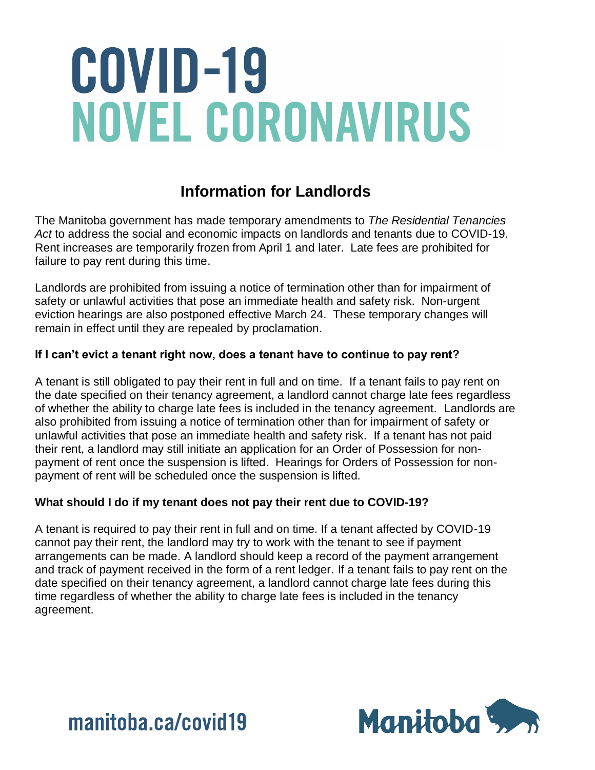### **Information for Landlords**

The Manitoba government has made temporary amendments to *The Residential Tenancies Act* to address the social and economic impacts on landlords and tenants due to COVID-19. Rent increases are temporarily frozen from April 1 and later. Late fees are prohibited for failure to pay rent during this time.

Landlords are prohibited from issuing a notice of termination other than for impairment of safety or unlawful activities that pose an immediate health and safety risk. Non-urgent eviction hearings are also postponed effective March 24. These temporary changes will remain in effect until they are repealed by proclamation.

### **If I can't evict a tenant right now, does a tenant have to continue to pay rent?**

A tenant is still obligated to pay their rent in full and on time. If a tenant fails to pay rent on the date specified on their tenancy agreement, a landlord cannot charge late fees regardless of whether the ability to charge late fees is included in the tenancy agreement. Landlords are also prohibited from issuing a notice of termination other than for impairment of safety or unlawful activities that pose an immediate health and safety risk. If a tenant has not paid their rent, a landlord may still initiate an application for an Order of Possession for nonpayment of rent once the suspension is lifted. Hearings for Orders of Possession for nonpayment of rent will be scheduled once the suspension is lifted.

#### **What should I do if my tenant does not pay their rent due to COVID-19?**

A tenant is required to pay their rent in full and on time. If a tenant affected by COVID-19 cannot pay their rent, the landlord may try to work with the tenant to see if payment arrangements can be made. A landlord should keep a record of the payment arrangement and track of payment received in the form of a rent ledger. If a tenant fails to pay rent on the date specified on their tenancy agreement, a landlord cannot charge late fees during this time regardless of whether the ability to charge late fees is included in the tenancy agreement.



manitoba.ca/covid19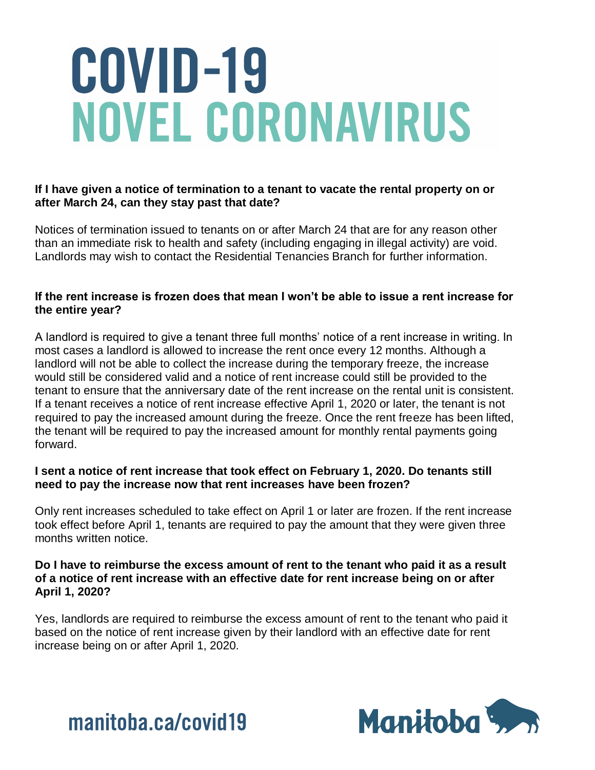#### **If I have given a notice of termination to a tenant to vacate the rental property on or after March 24, can they stay past that date?**

Notices of termination issued to tenants on or after March 24 that are for any reason other than an immediate risk to health and safety (including engaging in illegal activity) are void. Landlords may wish to contact the Residential Tenancies Branch for further information.

#### **If the rent increase is frozen does that mean I won't be able to issue a rent increase for the entire year?**

A landlord is required to give a tenant three full months' notice of a rent increase in writing. In most cases a landlord is allowed to increase the rent once every 12 months. Although a landlord will not be able to collect the increase during the temporary freeze, the increase would still be considered valid and a notice of rent increase could still be provided to the tenant to ensure that the anniversary date of the rent increase on the rental unit is consistent. If a tenant receives a notice of rent increase effective April 1, 2020 or later, the tenant is not required to pay the increased amount during the freeze. Once the rent freeze has been lifted, the tenant will be required to pay the increased amount for monthly rental payments going forward.

#### **I sent a notice of rent increase that took effect on February 1, 2020. Do tenants still need to pay the increase now that rent increases have been frozen?**

Only rent increases scheduled to take effect on April 1 or later are frozen. If the rent increase took effect before April 1, tenants are required to pay the amount that they were given three months written notice.

#### **Do I have to reimburse the excess amount of rent to the tenant who paid it as a result of a notice of rent increase with an effective date for rent increase being on or after April 1, 2020?**

Yes, landlords are required to reimburse the excess amount of rent to the tenant who paid it based on the notice of rent increase given by their landlord with an effective date for rent increase being on or after April 1, 2020.



manitoba.ca/covid19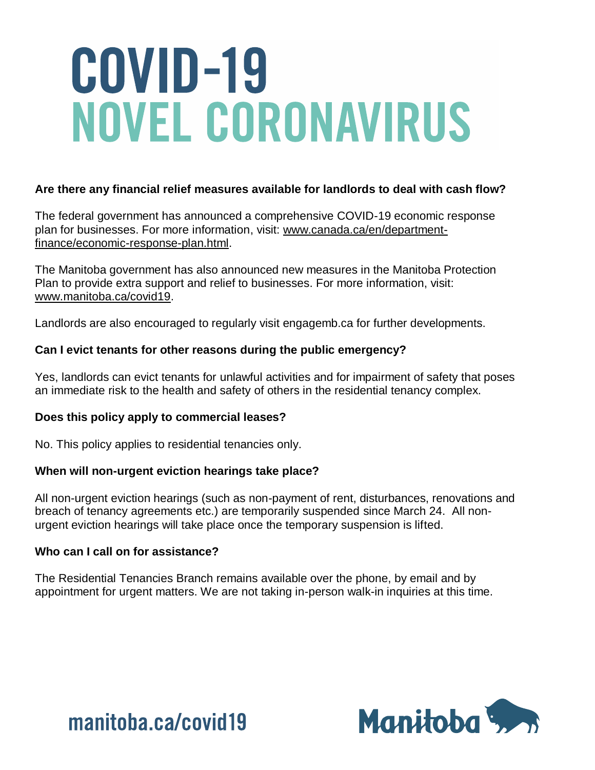#### **Are there any financial relief measures available for landlords to deal with cash flow?**

The federal government has announced a comprehensive COVID-19 economic response plan for businesses. For more information, visit: [www.canada.ca/en/department](http://www.canada.ca/en/department-finance/economic-response-plan.html)[finance/economic-response-plan.html.](http://www.canada.ca/en/department-finance/economic-response-plan.html)

The Manitoba government has also announced new measures in the Manitoba Protection Plan to provide extra support and relief to businesses. For more information, visit: [www.manitoba.ca/covid19.](https://www.manitoba.ca/covid19)

Landlords are also encouraged to regularly visit engagemb.ca for further developments.

#### **Can I evict tenants for other reasons during the public emergency?**

Yes, landlords can evict tenants for unlawful activities and for impairment of safety that poses an immediate risk to the health and safety of others in the residential tenancy complex.

#### **Does this policy apply to commercial leases?**

No. This policy applies to residential tenancies only.

#### **When will non-urgent eviction hearings take place?**

All non-urgent eviction hearings (such as non-payment of rent, disturbances, renovations and breach of tenancy agreements etc.) are temporarily suspended since March 24. All nonurgent eviction hearings will take place once the temporary suspension is lifted.

#### **Who can I call on for assistance?**

The Residential Tenancies Branch remains available over the phone, by email and by appointment for urgent matters. We are not taking in-person walk-in inquiries at this time.



manitoba.ca/covid19